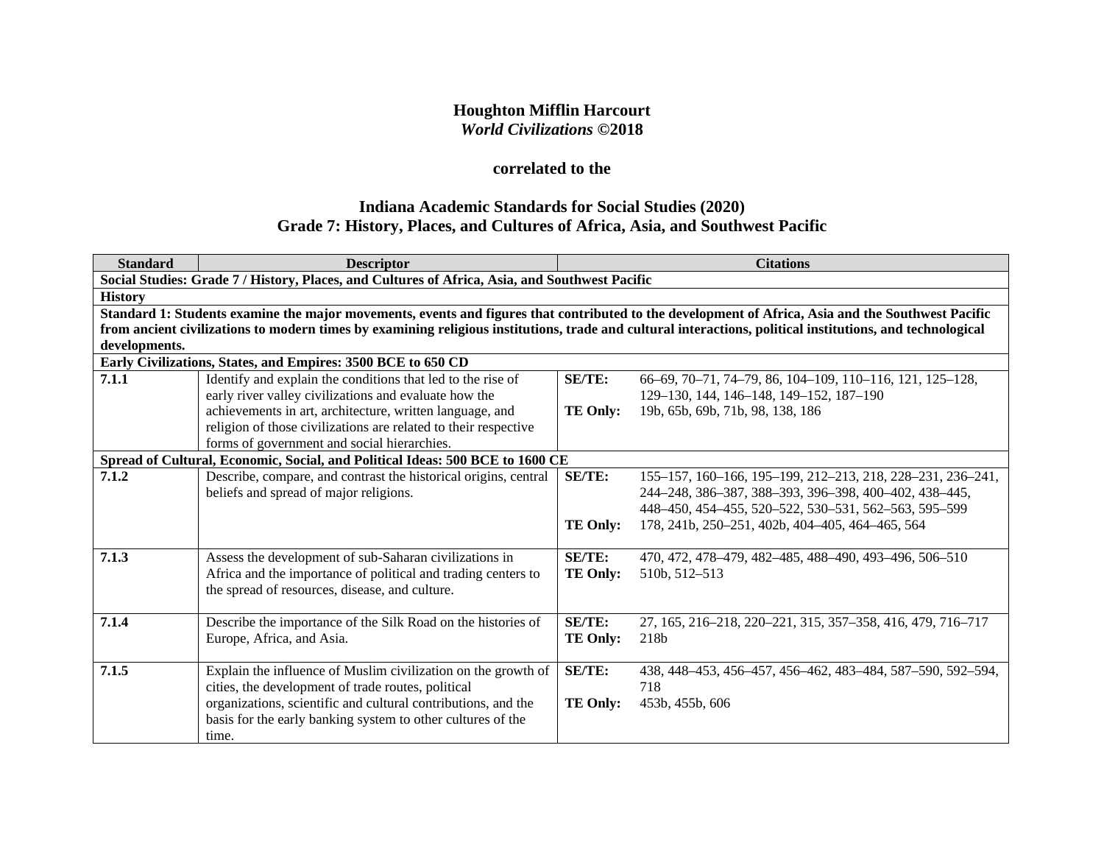# **Houghton Mifflin Harcourt** *World Civilizations* **©2018**

# **correlated to the**

# **Indiana Academic Standards for Social Studies (2020) Grade 7: History, Places, and Cultures of Africa, Asia, and Southwest Pacific**

| <b>Standard</b> | <b>Descriptor</b>                                                                                                                                          |                 | <b>Citations</b>                                                                                                                                   |  |  |
|-----------------|------------------------------------------------------------------------------------------------------------------------------------------------------------|-----------------|----------------------------------------------------------------------------------------------------------------------------------------------------|--|--|
|                 | Social Studies: Grade 7 / History, Places, and Cultures of Africa, Asia, and Southwest Pacific                                                             |                 |                                                                                                                                                    |  |  |
| <b>History</b>  |                                                                                                                                                            |                 |                                                                                                                                                    |  |  |
|                 |                                                                                                                                                            |                 | Standard 1: Students examine the major movements, events and figures that contributed to the development of Africa, Asia and the Southwest Pacific |  |  |
|                 | from ancient civilizations to modern times by examining religious institutions, trade and cultural interactions, political institutions, and technological |                 |                                                                                                                                                    |  |  |
| developments.   |                                                                                                                                                            |                 |                                                                                                                                                    |  |  |
|                 | Early Civilizations, States, and Empires: 3500 BCE to 650 CD                                                                                               |                 |                                                                                                                                                    |  |  |
| 7.1.1           | Identify and explain the conditions that led to the rise of                                                                                                | SE/TE:          | 66-69, 70-71, 74-79, 86, 104-109, 110-116, 121, 125-128,                                                                                           |  |  |
|                 | early river valley civilizations and evaluate how the                                                                                                      |                 | 129-130, 144, 146-148, 149-152, 187-190                                                                                                            |  |  |
|                 | achievements in art, architecture, written language, and                                                                                                   | <b>TE Only:</b> | 19b, 65b, 69b, 71b, 98, 138, 186                                                                                                                   |  |  |
|                 | religion of those civilizations are related to their respective                                                                                            |                 |                                                                                                                                                    |  |  |
|                 | forms of government and social hierarchies.                                                                                                                |                 |                                                                                                                                                    |  |  |
|                 | Spread of Cultural, Economic, Social, and Political Ideas: 500 BCE to 1600 CE                                                                              |                 |                                                                                                                                                    |  |  |
| 7.1.2           | Describe, compare, and contrast the historical origins, central                                                                                            | SE/TE:          | 155–157, 160–166, 195–199, 212–213, 218, 228–231, 236–241,                                                                                         |  |  |
|                 | beliefs and spread of major religions.                                                                                                                     |                 | 244-248, 386-387, 388-393, 396-398, 400-402, 438-445,                                                                                              |  |  |
|                 |                                                                                                                                                            |                 | 448-450, 454-455, 520-522, 530-531, 562-563, 595-599                                                                                               |  |  |
|                 |                                                                                                                                                            | <b>TE Only:</b> | 178, 241b, 250-251, 402b, 404-405, 464-465, 564                                                                                                    |  |  |
|                 |                                                                                                                                                            |                 |                                                                                                                                                    |  |  |
| 7.1.3           | Assess the development of sub-Saharan civilizations in                                                                                                     | <b>SE/TE:</b>   | 470, 472, 478-479, 482-485, 488-490, 493-496, 506-510                                                                                              |  |  |
|                 | Africa and the importance of political and trading centers to                                                                                              | <b>TE Only:</b> | 510b, 512-513                                                                                                                                      |  |  |
|                 | the spread of resources, disease, and culture.                                                                                                             |                 |                                                                                                                                                    |  |  |
|                 |                                                                                                                                                            |                 |                                                                                                                                                    |  |  |
| 7.1.4           | Describe the importance of the Silk Road on the histories of                                                                                               | <b>SE/TE:</b>   | 27, 165, 216-218, 220-221, 315, 357-358, 416, 479, 716-717                                                                                         |  |  |
|                 | Europe, Africa, and Asia.                                                                                                                                  | TE Only:        | 218b                                                                                                                                               |  |  |
|                 |                                                                                                                                                            |                 |                                                                                                                                                    |  |  |
| 7.1.5           | Explain the influence of Muslim civilization on the growth of                                                                                              | <b>SE/TE:</b>   | 438, 448-453, 456-457, 456-462, 483-484, 587-590, 592-594,                                                                                         |  |  |
|                 | cities, the development of trade routes, political                                                                                                         |                 | 718                                                                                                                                                |  |  |
|                 | organizations, scientific and cultural contributions, and the                                                                                              | <b>TE Only:</b> | 453b, 455b, 606                                                                                                                                    |  |  |
|                 | basis for the early banking system to other cultures of the                                                                                                |                 |                                                                                                                                                    |  |  |
|                 | time.                                                                                                                                                      |                 |                                                                                                                                                    |  |  |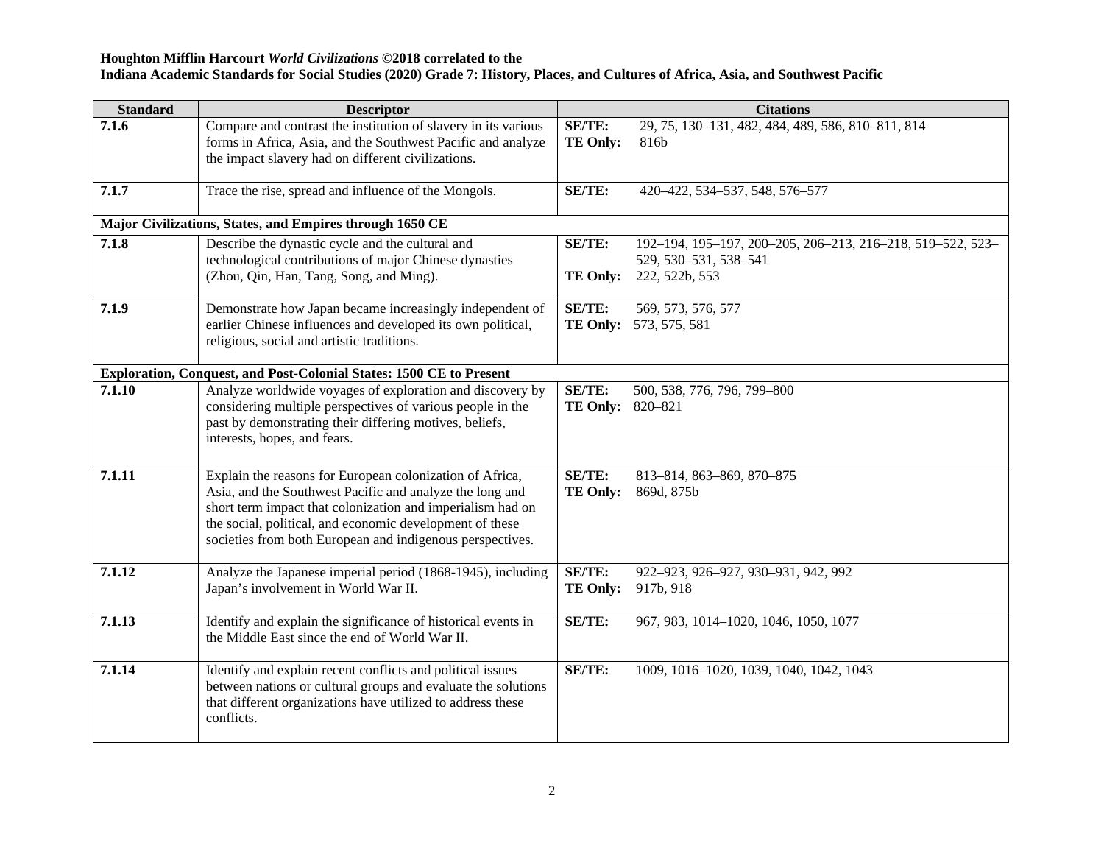| <b>Standard</b> | <b>Descriptor</b>                                                                                                                                                                                                                                                                                           |                                          | <b>Citations</b>                                                                                      |
|-----------------|-------------------------------------------------------------------------------------------------------------------------------------------------------------------------------------------------------------------------------------------------------------------------------------------------------------|------------------------------------------|-------------------------------------------------------------------------------------------------------|
| 7.1.6           | Compare and contrast the institution of slavery in its various<br>forms in Africa, Asia, and the Southwest Pacific and analyze<br>the impact slavery had on different civilizations.                                                                                                                        | <b>SE/TE:</b><br><b>TE Only:</b>         | 29, 75, 130-131, 482, 484, 489, 586, 810-811, 814<br>816b                                             |
| 7.1.7           | Trace the rise, spread and influence of the Mongols.                                                                                                                                                                                                                                                        | SE/TE:                                   | 420-422, 534-537, 548, 576-577                                                                        |
|                 | Major Civilizations, States, and Empires through 1650 CE                                                                                                                                                                                                                                                    |                                          |                                                                                                       |
| 7.1.8           | Describe the dynastic cycle and the cultural and<br>technological contributions of major Chinese dynasties<br>(Zhou, Qin, Han, Tang, Song, and Ming).                                                                                                                                                       | SE/TE:<br><b>TE Only:</b>                | 192-194, 195-197, 200-205, 206-213, 216-218, 519-522, 523-<br>529, 530-531, 538-541<br>222, 522b, 553 |
| 7.1.9           | Demonstrate how Japan became increasingly independent of<br>earlier Chinese influences and developed its own political,<br>religious, social and artistic traditions.                                                                                                                                       | <b>SE/TE:</b>                            | 569, 573, 576, 577<br><b>TE Only:</b> 573, 575, 581                                                   |
|                 | Exploration, Conquest, and Post-Colonial States: 1500 CE to Present                                                                                                                                                                                                                                         |                                          |                                                                                                       |
| 7.1.10          | Analyze worldwide voyages of exploration and discovery by<br>considering multiple perspectives of various people in the<br>past by demonstrating their differing motives, beliefs,<br>interests, hopes, and fears.                                                                                          | <b>SE/TE:</b><br><b>TE Only:</b> 820-821 | 500, 538, 776, 796, 799-800                                                                           |
| 7.1.11          | Explain the reasons for European colonization of Africa,<br>Asia, and the Southwest Pacific and analyze the long and<br>short term impact that colonization and imperialism had on<br>the social, political, and economic development of these<br>societies from both European and indigenous perspectives. | SE/TE:<br><b>TE Only:</b>                | 813-814, 863-869, 870-875<br>869d, 875b                                                               |
| 7.1.12          | Analyze the Japanese imperial period (1868-1945), including<br>Japan's involvement in World War II.                                                                                                                                                                                                         | SE/TE:<br><b>TE Only:</b>                | 922-923, 926-927, 930-931, 942, 992<br>917b, 918                                                      |
| 7.1.13          | Identify and explain the significance of historical events in<br>the Middle East since the end of World War II.                                                                                                                                                                                             | SE/TE:                                   | 967, 983, 1014-1020, 1046, 1050, 1077                                                                 |
| 7.1.14          | Identify and explain recent conflicts and political issues<br>between nations or cultural groups and evaluate the solutions<br>that different organizations have utilized to address these<br>conflicts.                                                                                                    | SE/TE:                                   | 1009, 1016-1020, 1039, 1040, 1042, 1043                                                               |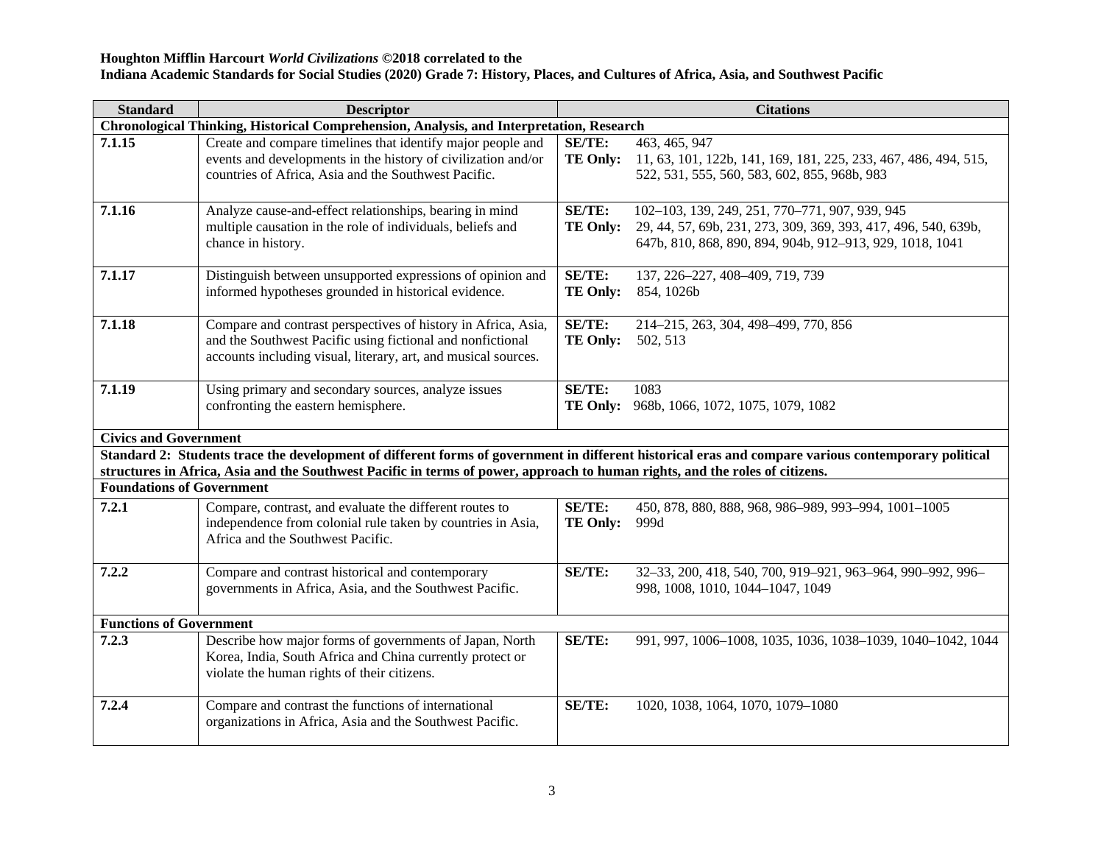### **Houghton Mifflin Harcourt** *World Civilizations* **©2018 correlated to the**

### **Indiana Academic Standards for Social Studies (2020) Grade 7: History, Places, and Cultures of Africa, Asia, and Southwest Pacific**

| <b>Standard</b>                                                                                                                                                                                                                                                                     | <b>Descriptor</b>                                                                                                                                                                             |                                  | <b>Citations</b>                                                                                                                                                             |  |
|-------------------------------------------------------------------------------------------------------------------------------------------------------------------------------------------------------------------------------------------------------------------------------------|-----------------------------------------------------------------------------------------------------------------------------------------------------------------------------------------------|----------------------------------|------------------------------------------------------------------------------------------------------------------------------------------------------------------------------|--|
| Chronological Thinking, Historical Comprehension, Analysis, and Interpretation, Research                                                                                                                                                                                            |                                                                                                                                                                                               |                                  |                                                                                                                                                                              |  |
| 7.1.15                                                                                                                                                                                                                                                                              | Create and compare timelines that identify major people and<br>events and developments in the history of civilization and/or<br>countries of Africa, Asia and the Southwest Pacific.          | SE/TE:<br><b>TE Only:</b>        | 463, 465, 947<br>11, 63, 101, 122b, 141, 169, 181, 225, 233, 467, 486, 494, 515,<br>522, 531, 555, 560, 583, 602, 855, 968b, 983                                             |  |
| 7.1.16                                                                                                                                                                                                                                                                              | Analyze cause-and-effect relationships, bearing in mind<br>multiple causation in the role of individuals, beliefs and<br>chance in history.                                                   | <b>SE/TE:</b><br><b>TE Only:</b> | 102-103, 139, 249, 251, 770-771, 907, 939, 945<br>29, 44, 57, 69b, 231, 273, 309, 369, 393, 417, 496, 540, 639b,<br>647b, 810, 868, 890, 894, 904b, 912-913, 929, 1018, 1041 |  |
| 7.1.17                                                                                                                                                                                                                                                                              | Distinguish between unsupported expressions of opinion and<br>informed hypotheses grounded in historical evidence.                                                                            | <b>SE/TE:</b><br><b>TE Only:</b> | 137, 226-227, 408-409, 719, 739<br>854, 1026b                                                                                                                                |  |
| 7.1.18                                                                                                                                                                                                                                                                              | Compare and contrast perspectives of history in Africa, Asia,<br>and the Southwest Pacific using fictional and nonfictional<br>accounts including visual, literary, art, and musical sources. | <b>SE/TE:</b><br><b>TE Only:</b> | 214-215, 263, 304, 498-499, 770, 856<br>502, 513                                                                                                                             |  |
| 7.1.19                                                                                                                                                                                                                                                                              | Using primary and secondary sources, analyze issues<br>confronting the eastern hemisphere.                                                                                                    | <b>SE/TE:</b>                    | 1083<br>TE Only: 968b, 1066, 1072, 1075, 1079, 1082                                                                                                                          |  |
| <b>Civics and Government</b>                                                                                                                                                                                                                                                        |                                                                                                                                                                                               |                                  |                                                                                                                                                                              |  |
| Standard 2: Students trace the development of different forms of government in different historical eras and compare various contemporary political<br>structures in Africa, Asia and the Southwest Pacific in terms of power, approach to human rights, and the roles of citizens. |                                                                                                                                                                                               |                                  |                                                                                                                                                                              |  |
| <b>Foundations of Government</b>                                                                                                                                                                                                                                                    |                                                                                                                                                                                               |                                  |                                                                                                                                                                              |  |
| 7.2.1                                                                                                                                                                                                                                                                               | Compare, contrast, and evaluate the different routes to<br>independence from colonial rule taken by countries in Asia,<br>Africa and the Southwest Pacific.                                   | <b>SE/TE:</b><br><b>TE Only:</b> | 450, 878, 880, 888, 968, 986-989, 993-994, 1001-1005<br>999d                                                                                                                 |  |
| 7.2.2                                                                                                                                                                                                                                                                               | Compare and contrast historical and contemporary<br>governments in Africa, Asia, and the Southwest Pacific.                                                                                   | <b>SE/TE:</b>                    | 32-33, 200, 418, 540, 700, 919-921, 963-964, 990-992, 996-<br>998, 1008, 1010, 1044-1047, 1049                                                                               |  |
| <b>Functions of Government</b>                                                                                                                                                                                                                                                      |                                                                                                                                                                                               |                                  |                                                                                                                                                                              |  |
| 7.2.3                                                                                                                                                                                                                                                                               | Describe how major forms of governments of Japan, North<br>Korea, India, South Africa and China currently protect or<br>violate the human rights of their citizens.                           | <b>SE/TE:</b>                    | 991, 997, 1006-1008, 1035, 1036, 1038-1039, 1040-1042, 1044                                                                                                                  |  |
| 7.2.4                                                                                                                                                                                                                                                                               | Compare and contrast the functions of international<br>organizations in Africa, Asia and the Southwest Pacific.                                                                               | <b>SE/TE:</b>                    | 1020, 1038, 1064, 1070, 1079-1080                                                                                                                                            |  |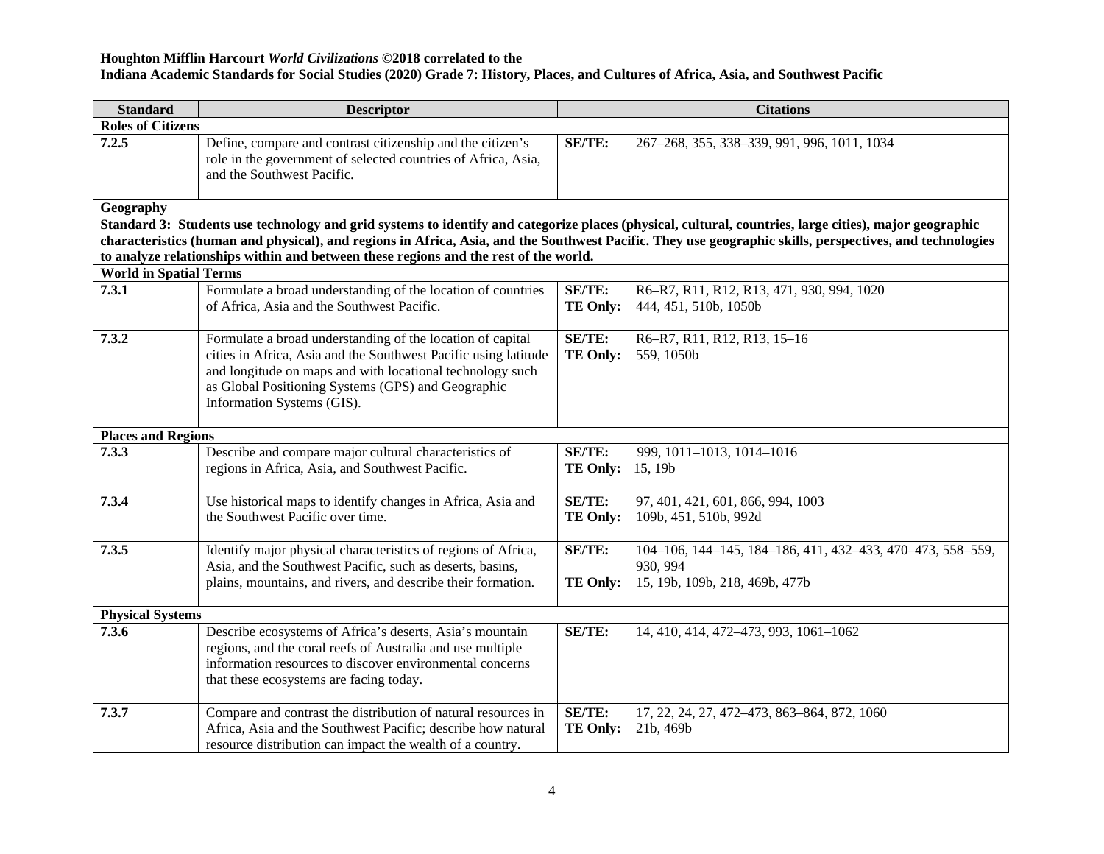### **Houghton Mifflin Harcourt** *World Civilizations* **©2018 correlated to the**

### **Indiana Academic Standards for Social Studies (2020) Grade 7: History, Places, and Cultures of Africa, Asia, and Southwest Pacific**

| <b>Standard</b>               | <b>Descriptor</b>                                                                                                                                                                                                                                                              | <b>Citations</b>                         |                                                                                                                                                          |  |
|-------------------------------|--------------------------------------------------------------------------------------------------------------------------------------------------------------------------------------------------------------------------------------------------------------------------------|------------------------------------------|----------------------------------------------------------------------------------------------------------------------------------------------------------|--|
| <b>Roles of Citizens</b>      |                                                                                                                                                                                                                                                                                |                                          |                                                                                                                                                          |  |
| 7.2.5                         | Define, compare and contrast citizenship and the citizen's<br>role in the government of selected countries of Africa, Asia,<br>and the Southwest Pacific.                                                                                                                      | <b>SE/TE:</b>                            | 267-268, 355, 338-339, 991, 996, 1011, 1034                                                                                                              |  |
| Geography                     |                                                                                                                                                                                                                                                                                |                                          |                                                                                                                                                          |  |
|                               | Standard 3: Students use technology and grid systems to identify and categorize places (physical, cultural, countries, large cities), major geographic                                                                                                                         |                                          |                                                                                                                                                          |  |
|                               |                                                                                                                                                                                                                                                                                |                                          | characteristics (human and physical), and regions in Africa, Asia, and the Southwest Pacific. They use geographic skills, perspectives, and technologies |  |
|                               | to analyze relationships within and between these regions and the rest of the world.                                                                                                                                                                                           |                                          |                                                                                                                                                          |  |
| <b>World in Spatial Terms</b> |                                                                                                                                                                                                                                                                                |                                          |                                                                                                                                                          |  |
| 7.3.1                         | Formulate a broad understanding of the location of countries<br>of Africa, Asia and the Southwest Pacific.                                                                                                                                                                     | <b>SE/TE:</b><br>TE Only:                | R6-R7, R11, R12, R13, 471, 930, 994, 1020<br>444, 451, 510b, 1050b                                                                                       |  |
| 7.3.2                         | Formulate a broad understanding of the location of capital<br>cities in Africa, Asia and the Southwest Pacific using latitude<br>and longitude on maps and with locational technology such<br>as Global Positioning Systems (GPS) and Geographic<br>Information Systems (GIS). | <b>SE/TE:</b><br><b>TE Only:</b>         | R6-R7, R11, R12, R13, 15-16<br>559, 1050b                                                                                                                |  |
| <b>Places and Regions</b>     |                                                                                                                                                                                                                                                                                |                                          |                                                                                                                                                          |  |
| 7.3.3                         | Describe and compare major cultural characteristics of<br>regions in Africa, Asia, and Southwest Pacific.                                                                                                                                                                      | <b>SE/TE:</b><br><b>TE Only:</b> 15, 19b | 999, 1011-1013, 1014-1016                                                                                                                                |  |
| 7.3.4                         | Use historical maps to identify changes in Africa, Asia and<br>the Southwest Pacific over time.                                                                                                                                                                                | <b>SE/TE:</b><br><b>TE Only:</b>         | 97, 401, 421, 601, 866, 994, 1003<br>109b, 451, 510b, 992d                                                                                               |  |
| 7.3.5                         | Identify major physical characteristics of regions of Africa,<br>Asia, and the Southwest Pacific, such as deserts, basins,<br>plains, mountains, and rivers, and describe their formation.                                                                                     | SE/TE:<br><b>TE Only:</b>                | 104-106, 144-145, 184-186, 411, 432-433, 470-473, 558-559,<br>930, 994<br>15, 19b, 109b, 218, 469b, 477b                                                 |  |
| <b>Physical Systems</b>       |                                                                                                                                                                                                                                                                                |                                          |                                                                                                                                                          |  |
| 7.3.6                         | Describe ecosystems of Africa's deserts, Asia's mountain<br>regions, and the coral reefs of Australia and use multiple<br>information resources to discover environmental concerns<br>that these ecosystems are facing today.                                                  | SE/TE:                                   | 14, 410, 414, 472-473, 993, 1061-1062                                                                                                                    |  |
| 7.3.7                         | Compare and contrast the distribution of natural resources in<br>Africa, Asia and the Southwest Pacific; describe how natural<br>resource distribution can impact the wealth of a country.                                                                                     | SE/TE:<br><b>TE Only:</b>                | 17, 22, 24, 27, 472-473, 863-864, 872, 1060<br>21b, 469b                                                                                                 |  |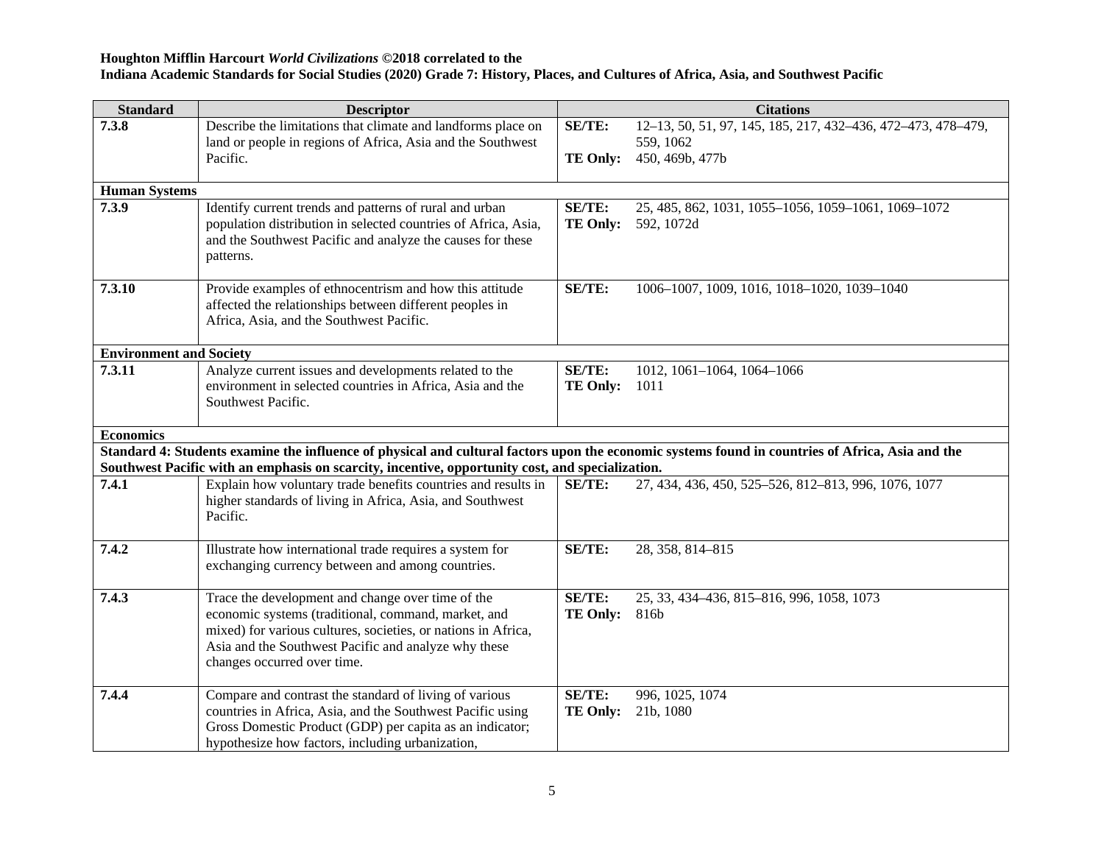| <b>Standard</b>                | <b>Descriptor</b>                                                                                                                                                 |                 | <b>Citations</b>                                             |
|--------------------------------|-------------------------------------------------------------------------------------------------------------------------------------------------------------------|-----------------|--------------------------------------------------------------|
| 7.3.8                          | Describe the limitations that climate and landforms place on                                                                                                      | SE/TE:          | 12-13, 50, 51, 97, 145, 185, 217, 432-436, 472-473, 478-479, |
|                                | land or people in regions of Africa, Asia and the Southwest                                                                                                       |                 | 559, 1062                                                    |
|                                | Pacific.                                                                                                                                                          | <b>TE Only:</b> | 450, 469b, 477b                                              |
| <b>Human Systems</b>           |                                                                                                                                                                   |                 |                                                              |
| 7.3.9                          | Identify current trends and patterns of rural and urban                                                                                                           | SE/TE:          | 25, 485, 862, 1031, 1055-1056, 1059-1061, 1069-1072          |
|                                | population distribution in selected countries of Africa, Asia,                                                                                                    | <b>TE Only:</b> | 592, 1072d                                                   |
|                                | and the Southwest Pacific and analyze the causes for these                                                                                                        |                 |                                                              |
|                                | patterns.                                                                                                                                                         |                 |                                                              |
|                                |                                                                                                                                                                   |                 |                                                              |
| 7.3.10                         | Provide examples of ethnocentrism and how this attitude                                                                                                           | SE/TE:          | 1006-1007, 1009, 1016, 1018-1020, 1039-1040                  |
|                                | affected the relationships between different peoples in                                                                                                           |                 |                                                              |
|                                | Africa, Asia, and the Southwest Pacific.                                                                                                                          |                 |                                                              |
| <b>Environment and Society</b> |                                                                                                                                                                   |                 |                                                              |
| 7.3.11                         | Analyze current issues and developments related to the                                                                                                            | SE/TE:          | 1012, 1061-1064, 1064-1066                                   |
|                                | environment in selected countries in Africa, Asia and the                                                                                                         | <b>TE Only:</b> | 1011                                                         |
|                                | Southwest Pacific.                                                                                                                                                |                 |                                                              |
|                                |                                                                                                                                                                   |                 |                                                              |
| <b>Economics</b>               |                                                                                                                                                                   |                 |                                                              |
|                                | Standard 4: Students examine the influence of physical and cultural factors upon the economic systems found in countries of Africa, Asia and the                  |                 |                                                              |
| 7.4.1                          | Southwest Pacific with an emphasis on scarcity, incentive, opportunity cost, and specialization.<br>Explain how voluntary trade benefits countries and results in | SE/TE:          | 27, 434, 436, 450, 525-526, 812-813, 996, 1076, 1077         |
|                                | higher standards of living in Africa, Asia, and Southwest                                                                                                         |                 |                                                              |
|                                | Pacific.                                                                                                                                                          |                 |                                                              |
|                                |                                                                                                                                                                   |                 |                                                              |
| 7.4.2                          | Illustrate how international trade requires a system for                                                                                                          | SE/TE:          | 28, 358, 814-815                                             |
|                                | exchanging currency between and among countries.                                                                                                                  |                 |                                                              |
|                                |                                                                                                                                                                   |                 |                                                              |
| 7.4.3                          | Trace the development and change over time of the                                                                                                                 | SE/TE:          | 25, 33, 434-436, 815-816, 996, 1058, 1073                    |
|                                | economic systems (traditional, command, market, and<br>mixed) for various cultures, societies, or nations in Africa,                                              | <b>TE Only:</b> | 816b                                                         |
|                                | Asia and the Southwest Pacific and analyze why these                                                                                                              |                 |                                                              |
|                                | changes occurred over time.                                                                                                                                       |                 |                                                              |
|                                |                                                                                                                                                                   |                 |                                                              |
| 7.4.4                          | Compare and contrast the standard of living of various                                                                                                            | SE/TE:          | 996, 1025, 1074                                              |
|                                | countries in Africa, Asia, and the Southwest Pacific using                                                                                                        | <b>TE Only:</b> | 21b, 1080                                                    |
|                                | Gross Domestic Product (GDP) per capita as an indicator;                                                                                                          |                 |                                                              |
|                                | hypothesize how factors, including urbanization,                                                                                                                  |                 |                                                              |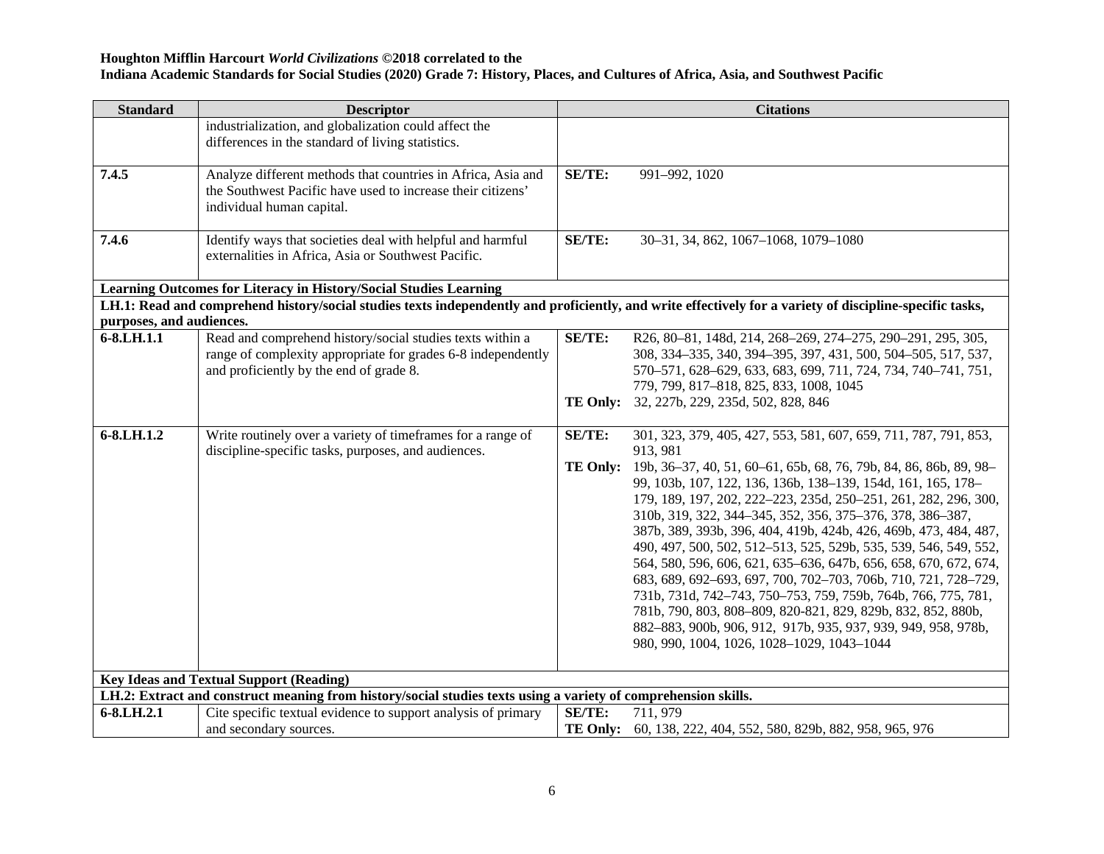# **Houghton Mifflin Harcourt** *World Civilizations* **©2018 correlated to the**

# **Indiana Academic Standards for Social Studies (2020) Grade 7: History, Places, and Cultures of Africa, Asia, and Southwest Pacific**

| <b>Standard</b>                                                                                                                                                  | <b>Descriptor</b>                                                                                                                                                    |                 | <b>Citations</b>                                                                                                                                                                                                                                                                                                                                                                                                                                                                                                                                                                                                                                                                                                                                                                                |
|------------------------------------------------------------------------------------------------------------------------------------------------------------------|----------------------------------------------------------------------------------------------------------------------------------------------------------------------|-----------------|-------------------------------------------------------------------------------------------------------------------------------------------------------------------------------------------------------------------------------------------------------------------------------------------------------------------------------------------------------------------------------------------------------------------------------------------------------------------------------------------------------------------------------------------------------------------------------------------------------------------------------------------------------------------------------------------------------------------------------------------------------------------------------------------------|
|                                                                                                                                                                  | industrialization, and globalization could affect the<br>differences in the standard of living statistics.                                                           |                 |                                                                                                                                                                                                                                                                                                                                                                                                                                                                                                                                                                                                                                                                                                                                                                                                 |
| 7.4.5                                                                                                                                                            | Analyze different methods that countries in Africa, Asia and<br>the Southwest Pacific have used to increase their citizens'<br>individual human capital.             | <b>SE/TE:</b>   | 991-992, 1020                                                                                                                                                                                                                                                                                                                                                                                                                                                                                                                                                                                                                                                                                                                                                                                   |
| 7.4.6                                                                                                                                                            | Identify ways that societies deal with helpful and harmful<br>externalities in Africa, Asia or Southwest Pacific.                                                    | SE/TE:          | 30-31, 34, 862, 1067-1068, 1079-1080                                                                                                                                                                                                                                                                                                                                                                                                                                                                                                                                                                                                                                                                                                                                                            |
|                                                                                                                                                                  | Learning Outcomes for Literacy in History/Social Studies Learning                                                                                                    |                 |                                                                                                                                                                                                                                                                                                                                                                                                                                                                                                                                                                                                                                                                                                                                                                                                 |
|                                                                                                                                                                  |                                                                                                                                                                      |                 | LH.1: Read and comprehend history/social studies texts independently and proficiently, and write effectively for a variety of discipline-specific tasks,                                                                                                                                                                                                                                                                                                                                                                                                                                                                                                                                                                                                                                        |
| purposes, and audiences.                                                                                                                                         |                                                                                                                                                                      |                 |                                                                                                                                                                                                                                                                                                                                                                                                                                                                                                                                                                                                                                                                                                                                                                                                 |
| 6-8.LH.1.1                                                                                                                                                       | Read and comprehend history/social studies texts within a<br>range of complexity appropriate for grades 6-8 independently<br>and proficiently by the end of grade 8. | <b>SE/TE:</b>   | R26, 80-81, 148d, 214, 268-269, 274-275, 290-291, 295, 305,<br>308, 334-335, 340, 394-395, 397, 431, 500, 504-505, 517, 537,<br>570-571, 628-629, 633, 683, 699, 711, 724, 734, 740-741, 751,<br>779, 799, 817-818, 825, 833, 1008, 1045<br>TE Only: 32, 227b, 229, 235d, 502, 828, 846                                                                                                                                                                                                                                                                                                                                                                                                                                                                                                         |
| 6-8.LH.1.2                                                                                                                                                       | Write routinely over a variety of timeframes for a range of<br>discipline-specific tasks, purposes, and audiences.                                                   | <b>SE/TE:</b>   | 301, 323, 379, 405, 427, 553, 581, 607, 659, 711, 787, 791, 853,<br>913, 981                                                                                                                                                                                                                                                                                                                                                                                                                                                                                                                                                                                                                                                                                                                    |
|                                                                                                                                                                  |                                                                                                                                                                      | <b>TE Only:</b> | 19b, 36-37, 40, 51, 60-61, 65b, 68, 76, 79b, 84, 86, 86b, 89, 98-<br>99, 103b, 107, 122, 136, 136b, 138-139, 154d, 161, 165, 178-<br>179, 189, 197, 202, 222-223, 235d, 250-251, 261, 282, 296, 300,<br>310b, 319, 322, 344-345, 352, 356, 375-376, 378, 386-387,<br>387b, 389, 393b, 396, 404, 419b, 424b, 426, 469b, 473, 484, 487,<br>490, 497, 500, 502, 512-513, 525, 529b, 535, 539, 546, 549, 552,<br>564, 580, 596, 606, 621, 635-636, 647b, 656, 658, 670, 672, 674,<br>683, 689, 692-693, 697, 700, 702-703, 706b, 710, 721, 728-729,<br>731b, 731d, 742-743, 750-753, 759, 759b, 764b, 766, 775, 781,<br>781b, 790, 803, 808-809, 820-821, 829, 829b, 832, 852, 880b,<br>882-883, 900b, 906, 912, 917b, 935, 937, 939, 949, 958, 978b,<br>980, 990, 1004, 1026, 1028-1029, 1043-1044 |
| <b>Key Ideas and Textual Support (Reading)</b><br>LH.2: Extract and construct meaning from history/social studies texts using a variety of comprehension skills. |                                                                                                                                                                      |                 |                                                                                                                                                                                                                                                                                                                                                                                                                                                                                                                                                                                                                                                                                                                                                                                                 |
| 6-8.LH.2.1                                                                                                                                                       |                                                                                                                                                                      | <b>SE/TE:</b>   | 711, 979                                                                                                                                                                                                                                                                                                                                                                                                                                                                                                                                                                                                                                                                                                                                                                                        |
|                                                                                                                                                                  | Cite specific textual evidence to support analysis of primary<br>and secondary sources.                                                                              |                 | TE Only: 60, 138, 222, 404, 552, 580, 829b, 882, 958, 965, 976                                                                                                                                                                                                                                                                                                                                                                                                                                                                                                                                                                                                                                                                                                                                  |
|                                                                                                                                                                  |                                                                                                                                                                      |                 |                                                                                                                                                                                                                                                                                                                                                                                                                                                                                                                                                                                                                                                                                                                                                                                                 |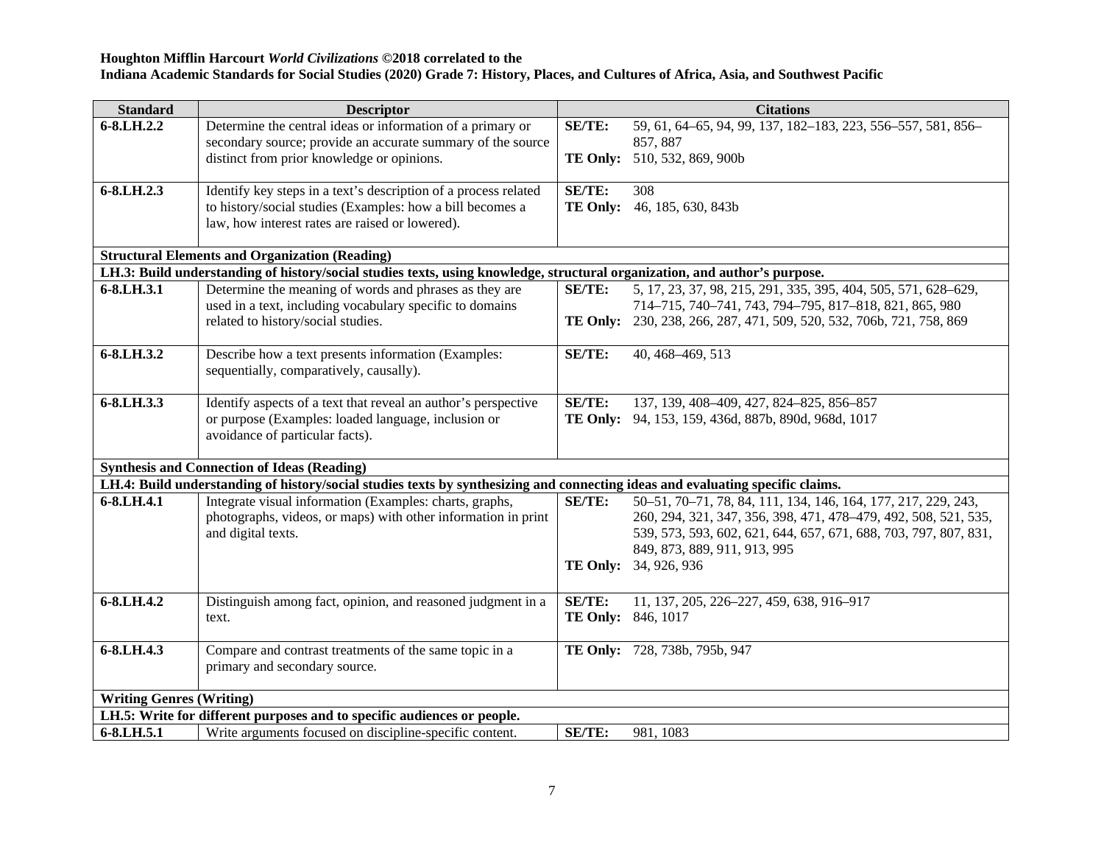| <b>Standard</b>                 | <b>Descriptor</b>                                                                                                                                                                   |                           | <b>Citations</b>                                                     |
|---------------------------------|-------------------------------------------------------------------------------------------------------------------------------------------------------------------------------------|---------------------------|----------------------------------------------------------------------|
| 6-8.LH.2.2                      | Determine the central ideas or information of a primary or                                                                                                                          | <b>SE/TE:</b>             | 59, 61, 64–65, 94, 99, 137, 182–183, 223, 556–557, 581, 856–         |
|                                 | secondary source; provide an accurate summary of the source                                                                                                                         |                           | 857, 887                                                             |
|                                 | distinct from prior knowledge or opinions.                                                                                                                                          |                           | TE Only: 510, 532, 869, 900b                                         |
|                                 |                                                                                                                                                                                     |                           |                                                                      |
| 6-8.LH.2.3                      | Identify key steps in a text's description of a process related                                                                                                                     | SE/TE:                    | 308                                                                  |
|                                 | to history/social studies (Examples: how a bill becomes a                                                                                                                           |                           | TE Only: 46, 185, 630, 843b                                          |
|                                 | law, how interest rates are raised or lowered).                                                                                                                                     |                           |                                                                      |
|                                 |                                                                                                                                                                                     |                           |                                                                      |
|                                 | <b>Structural Elements and Organization (Reading)</b><br>LH.3: Build understanding of history/social studies texts, using knowledge, structural organization, and author's purpose. |                           |                                                                      |
|                                 |                                                                                                                                                                                     |                           |                                                                      |
| 6-8.LH.3.1                      | Determine the meaning of words and phrases as they are                                                                                                                              | <b>SE/TE:</b>             | 5, 17, 23, 37, 98, 215, 291, 335, 395, 404, 505, 571, 628-629,       |
|                                 | used in a text, including vocabulary specific to domains                                                                                                                            |                           | 714-715, 740-741, 743, 794-795, 817-818, 821, 865, 980               |
|                                 | related to history/social studies.                                                                                                                                                  |                           | TE Only: 230, 238, 266, 287, 471, 509, 520, 532, 706b, 721, 758, 869 |
| 6-8.LH.3.2                      | Describe how a text presents information (Examples:                                                                                                                                 | <b>SE/TE:</b>             | 40, 468-469, 513                                                     |
|                                 | sequentially, comparatively, causally).                                                                                                                                             |                           |                                                                      |
|                                 |                                                                                                                                                                                     |                           |                                                                      |
| 6-8.LH.3.3                      | Identify aspects of a text that reveal an author's perspective                                                                                                                      | <b>SE/TE:</b>             | 137, 139, 408-409, 427, 824-825, 856-857                             |
|                                 | or purpose (Examples: loaded language, inclusion or                                                                                                                                 |                           | TE Only: 94, 153, 159, 436d, 887b, 890d, 968d, 1017                  |
|                                 | avoidance of particular facts).                                                                                                                                                     |                           |                                                                      |
|                                 |                                                                                                                                                                                     |                           |                                                                      |
|                                 | <b>Synthesis and Connection of Ideas (Reading)</b>                                                                                                                                  |                           |                                                                      |
|                                 | LH.4: Build understanding of history/social studies texts by synthesizing and connecting ideas and evaluating specific claims.                                                      |                           |                                                                      |
| 6-8.LH.4.1                      | Integrate visual information (Examples: charts, graphs,                                                                                                                             | SE/TE:                    | 50-51, 70-71, 78, 84, 111, 134, 146, 164, 177, 217, 229, 243,        |
|                                 | photographs, videos, or maps) with other information in print                                                                                                                       |                           | 260, 294, 321, 347, 356, 398, 471, 478-479, 492, 508, 521, 535,      |
|                                 | and digital texts.                                                                                                                                                                  |                           | 539, 573, 593, 602, 621, 644, 657, 671, 688, 703, 797, 807, 831,     |
|                                 |                                                                                                                                                                                     |                           | 849, 873, 889, 911, 913, 995                                         |
|                                 |                                                                                                                                                                                     |                           | TE Only: 34, 926, 936                                                |
|                                 |                                                                                                                                                                                     |                           |                                                                      |
| 6-8.LH.4.2                      | Distinguish among fact, opinion, and reasoned judgment in a                                                                                                                         | SE/TE:                    | 11, 137, 205, 226-227, 459, 638, 916-917                             |
|                                 | text.                                                                                                                                                                               | <b>TE Only:</b> 846, 1017 |                                                                      |
| 6-8.LH.4.3                      |                                                                                                                                                                                     |                           |                                                                      |
|                                 | Compare and contrast treatments of the same topic in a<br>primary and secondary source.                                                                                             |                           | TE Only: 728, 738b, 795b, 947                                        |
|                                 |                                                                                                                                                                                     |                           |                                                                      |
| <b>Writing Genres (Writing)</b> |                                                                                                                                                                                     |                           |                                                                      |
|                                 | LH.5: Write for different purposes and to specific audiences or people.                                                                                                             |                           |                                                                      |
| 6-8.LH.5.1                      | Write arguments focused on discipline-specific content.                                                                                                                             | SE/TE:                    | 981, 1083                                                            |